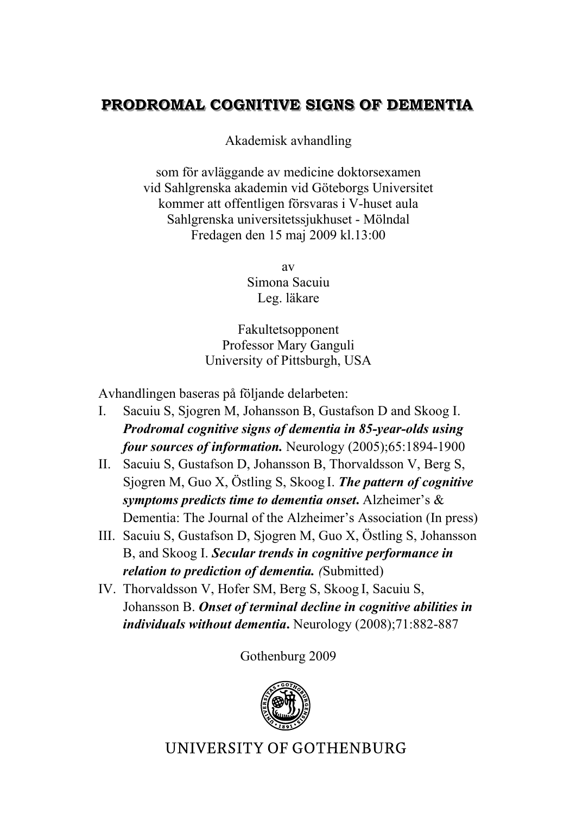## **PRODROMAL COGNITIVE SIGNS OF DEMENTIA**

Akademisk avhandling

som för avläggande av medicine doktorsexamen vid Sahlgrenska akademin vid Göteborgs Universitet kommer att offentligen försvaras i V-huset aula Sahlgrenska universitetssjukhuset - Mölndal Fredagen den 15 maj 2009 kl.13:00

> av Simona Sacuiu Leg. läkare

Fakultetsopponent Professor Mary Ganguli University of Pittsburgh, USA

Avhandlingen baseras på följande delarbeten:

- I. Sacuiu S, Sjogren M, Johansson B, Gustafson D and Skoog I. *Prodromal cognitive signs of dementia in 85-year-olds using four sources of information.* Neurology (2005);65:1894-1900
- II. Sacuiu S, Gustafson D, Johansson B, Thorvaldsson V, Berg S, Sjogren M, Guo X, Östling S, Skoog I. *The pattern of cognitive symptoms predicts time to dementia onset***.** Alzheimer's & Dementia: The Journal of the Alzheimer's Association (In press)
- III. Sacuiu S, Gustafson D, Sjogren M, Guo X, Östling S, Johansson B, and Skoog I. *Secular trends in cognitive performance in relation to prediction of dementia. (*Submitted)
- IV. Thorvaldsson V, Hofer SM, Berg S, Skoog I, Sacuiu S, Johansson B. *Onset of terminal decline in cognitive abilities in individuals without dementia***.** Neurology (2008);71:882-887

Gothenburg 2009



**UNIVERSITY OF GOTHENBURG**